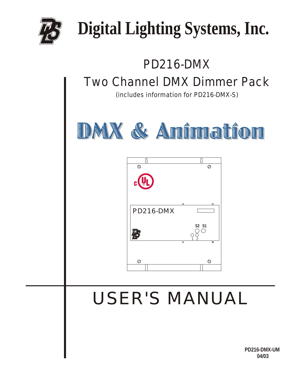

# **Digital Lighting Systems, Inc.**

# PD216-DMX Two Channel DMX Dimmer Pack (includes information for PD216-DMX-S) DMX & Anîmatîon ß  $\circ$  $\overline{\varnothing}$ PD216-DMX**S2 S1** 恳 1 2  $\circ$ Ø USER'S MANUAL

**PD216-DMX-UM 04/03**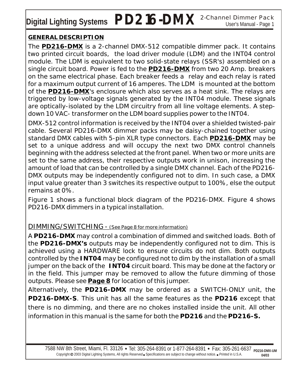Digital Lighting Systems PD216-DMX <sup>2-Channel Dimmer Pack</sup>

### **GENERAL DESCRIPTION**

The **PD216-DMX** is a 2-channel DMX-512 compatible dimmer pack. It contains two printed circuit boards, the load driver module (LDM) and the INT04 control module. The LDM is equivalent to two solid-state relays (SSR's) assembled on a single circuit board. Power is fed to the **PD216-DMX** from two 20 Amp. breakers on the same electrical phase. Each breaker feeds a relay and each relay is rated for a maximum output current of 16 amperes. The LDM is mounted at the bottom of the **PD216-DMX**'s enclosure which also serves as a heat sink. The relays are triggered by low-voltage signals generated by the INT04 module. These signals are optically-isolated by the LDM circuitry from all line voltage elements. A stepdown 10 VAC- transformer on the LDM board supplies power to the INT04.

DMX-512 control information is received by the INT04 over a shielded twisted-pair cable. Several PD216-DMX dimmer packs may be daisy-chained together using standard DMX cables with 5-pin XLR type connectors. Each **PD216-DMX** may be set to a unique address and will occupy the next two DMX control channels beginning with the address selected at the front panel. When two or more units are set to the same address, their respective outputs work in unison, increasing the amount of load that can be controlled by a single DMX channel. Each of the PD216- DMX outputs may be independently configured not to dim. In such case, a DMX input value greater than 3 switches its respective output to 100%, else the output remains at 0%.

Figure 1 shows a functional block diagram of the PD216-DMX. Figure 4 shows PD216-DMX dimmers in a typical installation.

### DIMMING/SWITCHING - (See Page 8 for more information)

A **PD216-DMX** may control a combination of dimmed and switched loads. Both of the **PD216-DMX's** outputs may be independently configured not to dim. This is achieved using a HARDWARE lock to ensure circuits do not dim. Both outputs controlled by the **INT04** may be configured not to dim by the installation of a small jumper on the back of the **INT04** circuit board. This may be done at the factory or in the field. This jumper may be removed to allow the future dimming of those outputs. Please see *Page 8* for location of this jumper.

Alternatively, the **PD216-DMX** may be ordered as a SWITCH-ONLY unit, the **PD216-DMX-S**. This unit has all the same features as the **PD216** except that there is no dimming, and there are no chokes installed inside the unit. All other information in this manual is the same for both the **PD216** and the **PD216-S.**

7588 NW 8th Street, Miami, Fl. 33126 • Tel: 305-264-8391 or 1-877-264-8391 • Fax: 305-261-6637 Copyright @ 2003 Digital Lighting Systems, All rights Reserved Specifications are subject to change without notice. *Printed* in U.S.A. **PD216-DMX-UM 04/03**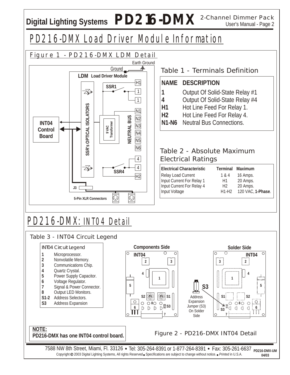## Digital Lighting Systems  $PD216-DMX$  2-Channel Dimmer Pack

### PD216-DMX Load Driver Module Information

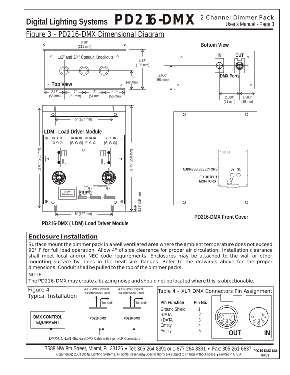## Digital Lighting Systems  $PD216-DMX$  <sup>2-Channel Dimmer Pack</sup>



### **Enclosure Installation**

Surface mount the dimmer pack in a well ventilated area where the ambient temperature does not exceed 90° F for full load operation. Allow 4" of side clearance for proper air circulation. Installation clearance shall meet local and/or NEC code requirements. Enclosures may be attached to the wall or other mounting surface by holes in the heat sink flanges. Refer to the drawings above for the proper dimensions. Conduit shall be pulled to the top of the dimmer packs. **NOTE** 

The PD216-DMX may create a buzzing noise and should not be located where this is objectionable.

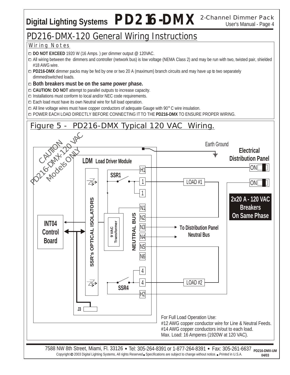## Digital Lighting Systems  $PD216-DMX$  2-Channel Dimmer Pack

### PD216-DMX-120 General Wiring Instructions

### Wiring Notes

0 **DO NOT EXCEED** 1920 W (16 Amps. ) per dimmer output @ 120VAC.

0 All wiring between the dimmers and controller (network bus) is low voltage (NEMA Class 2) and may be run with two, twisted pair, shielded #18 AWG wire.

- 0 **PD216-DMX** dimmer packs may be fed by one or two 20 A (maximum) branch circuits and may have up to two separately dimmed/switched loads.
- 0 **Both breakers must be on the same power phase.**
- 0 **CAUTION: DO NOT** attempt to parallel outputs to increase capacity.
- $\square$  Installations must conform to local and/or NEC code requirements.
- □ Each load must have its own Neutral wire for full load operation.
- □ All line voltage wires must have copper conductors of adequate Gauge with 90° C wire insulation.

0 POWER EACH LOAD DIRECTLY BEFORE CONNECTING IT TO THE **PD216-DMX** TO ENSURE PROPER WIRING.

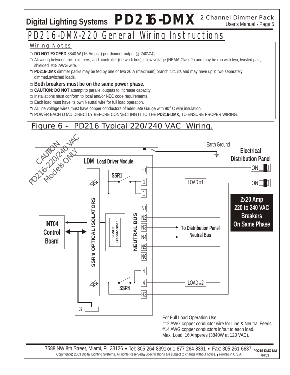## Digital Lighting Systems  $PD216-DMX$  2-Channel Dimmer Pack

### PD216-DMX-220 General Wiring Instructions

### Wiring Notes

0 **DO NOT EXCEED** 3840 W (16 Amps. ) per dimmer output @ 240VAC.

- 0 All wiring between the dimmers, and controller (network bus) is low voltage (NEMA Class 2) and may be run with two, twisted pair, shielded #18 AWG wire.
- 0 **PD216-DMX** dimmer packs may be fed by one or two 20 A (maximum) branch circuits and may have up to two separately dimmed.switched loads.
- 0 **Both breakers must be on the same power phase.**
- 0 **CAUTION: DO NOT** attempt to parallel outputs to increase capacity.
- □ Installations must conform to local and/or NEC code requirements.
- □ Each load must have its own Neutral wire for full load operation.
- $\Box$  All line voltage wires must have copper conductors of adequate Gauge with 90 $^{\circ}$  C wire insulation.

0 POWER EACH LOAD DIRECTLY BEFORE CONNECTING IT TO THE **PD216-DMX**, TO ENSURE PROPER WIRING.

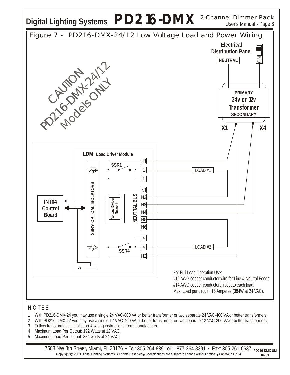

7588 NW 8th Street, Miami, Fl. 33126 • Tel: 305-264-8391 or 1-877-264-8391 • Fax: 305-261-6637 Copyright @ 2003 Digital Lighting Systems, All rights Reserved Specifications are subject to change without notice. *Printed* in U.S.A. **PD216-DMX-UM 04/03**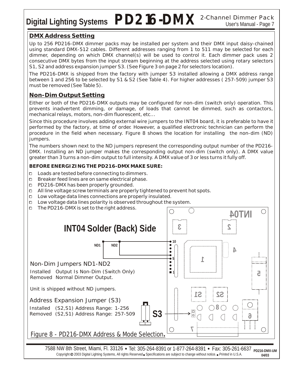## Digital Lighting Systems PD216-DMX<sup>2-Channel Dimmer Pack</sup>

#### **DMX Address Setting**

Up to 256 PD216-DMX dimmer packs may be installed per system and their DMX input daisy-chained using standard DMX-512 cables. Different addresses ranging from 1 to 511 may be selected for each dimmer, depending on which DMX channel(s) will be used to control it. Each dimmer pack uses 2 consecutive DMX bytes from the input stream beginning at the address selected using rotary selectors S1, S2 and address expansion jumper S3. (See Figure 3 on page 2 for selectors location).

The PD216-DMX is shipped from the factory with jumper S3 installed allowing a DMX address range between 1 and 256 to be selected by S1 & S2 (See Table 4). For higher addresses ( 257-509) jumper S3 must be removed (See Table 5).

#### **Non-Dim Output Setting**

Either or both of the PD216-DMX outputs may be configured for non-dim (switch only) operation. This prevents inadvertent dimming, or damage, of loads that cannot be dimmed, such as contactors, mechanical relays, motors, non-dim fluorescent, etc...

Since this procedure involves adding external wire jumpers to the INT04 board, it is preferable to have it performed by the factory, at time of order. However, a qualified electronic technician can perform the procedure in the field when necessary. Figure 8 shows the location for installing the non-dim (ND) jumpers.

The numbers shown next to the ND jumpers represent the corresponding output number of the PD216- DMX. Installing an ND jumper makes the corresponding output non-dim (switch only). A DMX value greater than 3 turns a non-dim output to full intensity. A DMX value of 3 or less turns it fully off.

**BEFORE ENERGIZING THE PD216-DMX MAKE SURE:**

- □ Loads are tested before connecting to dimmers.
- □ Breaker feed lines are on same electrical phase.
- □ PD216-DMX has been properly grounded.
- 0 All line voltage screw terminals are properly tightened to prevent hot spots.
- □ Low voltage data lines connections are properly insulated.
- $\Box$  Low voltage data lines polarity is observed throughout the system.
- 0 The PD216-DMX is set to the right address.



Copyright @ 2003 Digital Lighting Systems, All rights Reserved Specifications are subject to change without notice. *Printed* in U.S.A.

**<sup>04/03</sup>**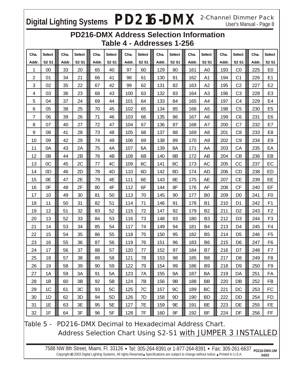## Digital Lighting Systems  $PD216-DMX$  <sup>2-Channel Dimmer Pack</sup>

### **PD216-DMX Address Selection Information Table 4 - Addresses 1-256**

| Cha.  | <b>Select</b> | Cha.  | <b>Select</b>                 | Cha.  | Select       | Cha.  | <b>Select</b>                 | Cha.  | Select       | Cha.  | <b>Select</b>                 | Cha.  | <b>Select</b>  | Cha.  | Select                        |
|-------|---------------|-------|-------------------------------|-------|--------------|-------|-------------------------------|-------|--------------|-------|-------------------------------|-------|----------------|-------|-------------------------------|
| Addr. | <b>S2 S1</b>  | Addr. | S <sub>2</sub> S <sub>1</sub> | Addr. | <b>S2 S1</b> | Addr. | S <sub>2</sub> S <sub>1</sub> | Addr. | <b>S2 S1</b> | Addr. | S <sub>2</sub> S <sub>1</sub> | Addr. | <b>S2 S1</b>   | Addr. | S <sub>2</sub> S <sub>1</sub> |
| 1     | 00            | 33    | 20                            | 65    | 40           | 97    | 60                            | 129   | 80           | 161   | A <sub>0</sub>                | 193   | CO             | 225   | E <sub>0</sub>                |
| 2     | 01            | 34    | 21                            | 66    | 41           | 98    | 61                            | 130   | 81           | 162   | A1                            | 194   | C <sub>1</sub> | 226   | E1                            |
| 3     | 02            | 35    | 22                            | 67    | 42           | 99    | 62                            | 131   | 82           | 163   | A2                            | 195   | C <sub>2</sub> | 227   | E <sub>2</sub>                |
| 4     | 03            | 36    | 23                            | 68    | 43           | 100   | 63                            | 132   | 83           | 164   | A <sub>3</sub>                | 196   | C <sub>3</sub> | 228   | E <sub>3</sub>                |
| 5     | 04            | 37    | 24                            | 69    | 44           | 101   | 64                            | 133   | 84           | 165   | A4                            | 197   | C <sub>4</sub> | 229   | E4                            |
| 6     | 05            | 38    | 25                            | 70    | 45           | 102   | 65                            | 134   | 85           | 166   | A <sub>5</sub>                | 198   | C <sub>5</sub> | 230   | E <sub>5</sub>                |
| 7     | 06            | 39    | 26                            | 71    | 46           | 103   | 66                            | 135   | 86           | 167   | A6                            | 199   | C <sub>6</sub> | 231   | E <sub>6</sub>                |
| 8     | 07            | 40    | 27                            | 72    | 47           | 104   | 67                            | 136   | 87           | 168   | A7                            | 200   | C7             | 232   | E7                            |
| 9     | 08            | 41    | 28                            | 73    | 48           | 105   | 68                            | 137   | 88           | 169   | A8                            | 201   | C <sub>8</sub> | 233   | E <sub>8</sub>                |
| 10    | 09            | 42    | 29                            | 74    | 49           | 106   | 69                            | 138   | 89           | 170   | A <sub>9</sub>                | 202   | C <sub>9</sub> | 234   | E <sub>9</sub>                |
| 11    | 0A            | 43    | 2A                            | 75    | 4A           | 107   | 6A                            | 139   | 8A           | 171   | AA                            | 203   | CA             | 235   | EA                            |
| 12    | 0B            | 44    | 2B                            | 76    | 4B           | 108   | 6B                            | 140   | 8B           | 172   | AB                            | 204   | <b>CB</b>      | 236   | EB                            |
| 13    | OC            | 45    | 2C                            | 77    | 4C           | 109   | 6C                            | 141   | 8C           | 173   | AC                            | 205   | CC             | 237   | EC                            |
| 14    | 0D            | 46    | 2D                            | 78    | 4D           | 110   | 6D                            | 142   | 8D           | 174   | AD                            | 206   | <b>CD</b>      | 238   | <b>ED</b>                     |
| 15    | 0E            | 47    | 2E                            | 79    | 4E           | 111   | 6E                            | 143   | 8E           | 175   | AE                            | 207   | <b>CE</b>      | 239   | EE                            |
| 16    | 0F            | 48    | 2F                            | 80    | 4F           | 112   | 6F                            | 144   | 8F           | 176   | AF                            | 208   | <b>CF</b>      | 240   | EF                            |
| 17    | 10            | 49    | 30                            | 81    | 50           | 113   | 70                            | 145   | 90           | 177   | B <sub>0</sub>                | 209   | D <sub>0</sub> | 241   | F <sub>0</sub>                |
| 18    | 11            | 50    | 31                            | 82    | 51           | 114   | 71                            | 146   | 91           | 178   | <b>B1</b>                     | 210   | D <sub>1</sub> | 242   | F <sub>1</sub>                |
| 19    | 12            | 51    | 32                            | 83    | 52           | 115   | 72                            | 147   | 92           | 179   | B <sub>2</sub>                | 211   | D <sub>2</sub> | 243   | F <sub>2</sub>                |
| 20    | 13            | 52    | 33                            | 84    | 53           | 116   | 73                            | 148   | 93           | 180   | B3                            | 212   | D <sub>3</sub> | 244   | F <sub>3</sub>                |
| 21    | 14            | 53    | 34                            | 85    | 54           | 117   | 74                            | 149   | 94           | 181   | B4                            | 213   | D <sub>4</sub> | 245   | F <sub>4</sub>                |
| 22    | 15            | 54    | 35                            | 86    | 55           | 118   | 75                            | 150   | 95           | 182   | B <sub>5</sub>                | 214   | D <sub>5</sub> | 246   | F <sub>5</sub>                |
| 23    | 16            | 55    | 36                            | 87    | 56           | 119   | 76                            | 151   | 96           | 183   | B <sub>6</sub>                | 215   | D <sub>6</sub> | 247   | F <sub>6</sub>                |
| 24    | 17            | 56    | 37                            | 88    | 57           | 120   | 77                            | 152   | 97           | 184   | B7                            | 216   | D7             | 248   | F7                            |
| 25    | 18            | 57    | 38                            | 89    | 58           | 121   | 78                            | 153   | 98           | 185   | B <sub>8</sub>                | 217   | D <sub>8</sub> | 249   | F <sub>8</sub>                |
| 26    | 19            | 58    | 39                            | 90    | 59           | 122   | 79                            | 154   | 99           | 186   | B <sub>9</sub>                | 218   | D <sub>9</sub> | 250   | F <sub>9</sub>                |
| 27    | 1A            | 59    | 3A                            | 91    | 5A           | 123   | 7A                            | 155   | <b>9A</b>    | 187   | BA                            | 219   | DA             | 251   | FA                            |
| 28    | 1B            | 60    | 3B                            | 92    | 5B           | 124   | 7B                            | 156   | 9B           | 188   | BB                            | 220   | DB             | 252   | FB                            |
| 29    | 1C            | 61    | 3C                            | 93    | 5C           | 125   | 7C                            | 157   | 9C           | 189   | BC                            | 221   | DC             | 253   | FC                            |
| 30    | 1D            | 62    | 3D                            | 94    | 5D           | 126   | 7D                            | 158   | 9D           | 190   | <b>BD</b>                     | 222   | <b>DD</b>      | 254   | FD.                           |
| 31    | 1E            | 63    | 3E                            | 95    | 5E           | 127   | 7E                            | 159   | 9E           | 191   | <b>BE</b>                     | 223   | DE             | 255   | <b>FE</b>                     |
| 32    | 1F            | 64    | 3F                            | 96    | 5F           | 128   | 7F                            | 160   | 9F           | 192   | BF                            | 224   | DF             | 256   | FF.                           |

Table 5 - PD216-DMX Decimal to Hexadecimal Address Chart. Address Selection Chart Using S2-S1 with JUMPER 3 INSTALLED

7588 NW 8th Street, Miami, Fl. 33126 • Tel: 305-264-8391 or 1-877-264-8391 • Fax: 305-261-6637 <sub>PD216-DMX-UM</sub> Copyright @ 2003 Digital Lighting Systems, All rights Reserved Specifications are subject to change without notice. *Printed* in U.S.A. **04/03**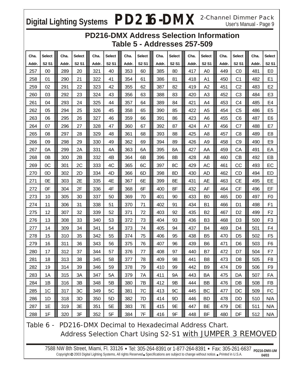## Digital Lighting Systems  $PD216-DMX$ <sup>2-Channel Dimmer Pack</sup>

### **PD216-DMX Address Selection Information Table 5 - Addresses 257-509**

| Cha.  | Select                        | Cha.  | <b>Select</b> | Cha.  | Select       | Cha.  | Select       | Cha.  | <b>Select</b> | Cha.  | <b>Select</b>  | Cha.  | <b>Select</b>  | Cha.  | Select                        |
|-------|-------------------------------|-------|---------------|-------|--------------|-------|--------------|-------|---------------|-------|----------------|-------|----------------|-------|-------------------------------|
| Addr. | S <sub>2</sub> S <sub>1</sub> | Addr. | <b>S2 S1</b>  | Addr. | <b>S2 S1</b> | Addr. | <b>S2 S1</b> | Addr. | <b>S2 S1</b>  | Addr. | <b>S2 S1</b>   | Addr. | <b>S2 S1</b>   | Addr. | S <sub>2</sub> S <sub>1</sub> |
| 257   | 00                            | 289   | 20            | 321   | 40           | 353   | 60           | 385   | 80            | 417   | A <sub>0</sub> | 449   | CO             | 481   | E <sub>0</sub>                |
| 258   | 01                            | 290   | 21            | 322   | 41           | 354   | 61           | 386   | 81            | 418   | A1             | 450   | C <sub>1</sub> | 482   | E1                            |
| 259   | 02                            | 291   | 22            | 323   | 42           | 355   | 62           | 387   | 82            | 419   | A2             | 451   | C <sub>2</sub> | 483   | E <sub>2</sub>                |
| 260   | 03                            | 292   | 23            | 324   | 43           | 356   | 63           | 388   | 83            | 420   | A3             | 452   | C <sub>3</sub> | 484   | E <sub>3</sub>                |
| 261   | 04                            | 293   | 24            | 325   | 44           | 357   | 64           | 389   | 84            | 421   | A4             | 453   | C <sub>4</sub> | 485   | E4                            |
| 262   | 05                            | 294   | 25            | 326   | 45           | 358   | 65           | 390   | 85            | 422   | A <sub>5</sub> | 454   | C <sub>5</sub> | 486   | E <sub>5</sub>                |
| 263   | 06                            | 295   | 26            | 327   | 46           | 359   | 66           | 391   | 86            | 423   | A6             | 455   | C <sub>6</sub> | 487   | E <sub>6</sub>                |
| 264   | 07                            | 296   | 27            | 328   | 47           | 360   | 67           | 392   | 87            | 424   | A7             | 456   | C7             | 488   | E7                            |
| 265   | 08                            | 297   | 28            | 329   | 48           | 361   | 68           | 393   | 88            | 425   | A8             | 457   | C <sub>8</sub> | 489   | E8                            |
| 266   | 09                            | 298   | 29            | 330   | 49           | 362   | 69           | 394   | 89            | 426   | A <sub>9</sub> | 458   | C <sub>9</sub> | 490   | E9                            |
| 267   | 0A                            | 299   | 2Α            | 331   | 4A           | 363   | 6A           | 395   | 8A            | 427   | AA             | 459   | CA             | 491   | EA                            |
| 268   | 0 <sub>B</sub>                | 300   | 2B            | 332   | 4B           | 364   | 6B           | 396   | 8B            | 428   | AB             | 460   | <b>CB</b>      | 492   | EB                            |
| 269   | OC                            | 301   | 2C            | 333   | 4C           | 365   | 6C           | 397   | 8C            | 429   | AC             | 461   | CC             | 493   | EC                            |
| 270   | 0D                            | 302   | 2D            | 334   | 4D           | 366   | 6D           | 398   | 8D            | 430   | <b>AD</b>      | 462   | CD             | 494   | ED                            |
| 271   | 0E                            | 303   | 2E            | 335   | 4E           | 367   | 6E           | 399   | 8E            | 431   | AE             | 463   | <b>CE</b>      | 495   | EE                            |
| 272   | 0F                            | 304   | 2F            | 336   | 4F           | 368   | 6F           | 400   | 8F            | 432   | AF             | 464   | CF             | 496   | EF                            |
| 273   | 10                            | 305   | 30            | 337   | 50           | 369   | 70           | 401   | 90            | 433   | B <sub>0</sub> | 465   | D <sub>0</sub> | 497   | F <sub>0</sub>                |
| 274   | 11                            | 306   | 31            | 338   | 51           | 370   | 71           | 402   | 91            | 434   | <b>B1</b>      | 466   | D <sub>1</sub> | 498   | F <sub>1</sub>                |
| 275   | 12                            | 307   | 32            | 339   | 52           | 371   | 72           | 403   | 92            | 435   | B <sub>2</sub> | 467   | D <sub>2</sub> | 499   | F <sub>2</sub>                |
| 276   | 13                            | 308   | 33            | 340   | 53           | 372   | 73           | 404   | 93            | 436   | B <sub>3</sub> | 468   | D <sub>3</sub> | 500   | F <sub>3</sub>                |
| 277   | 14                            | 309   | 34            | 341   | 54           | 373   | 74           | 405   | 94            | 437   | B <sub>4</sub> | 469   | D <sub>4</sub> | 501   | F4                            |
| 278   | 15                            | 310   | 35            | 342   | 55           | 374   | 75           | 406   | 95            | 438   | B <sub>5</sub> | 470   | D <sub>5</sub> | 502   | F <sub>5</sub>                |
| 279   | 16                            | 311   | 36            | 343   | 56           | 375   | 76           | 407   | 96            | 439   | B <sub>6</sub> | 471   | D <sub>6</sub> | 503   | F <sub>6</sub>                |
| 280   | 17                            | 312   | 37            | 344   | 57           | 376   | 77           | 408   | 97            | 440   | B7             | 472   | D7             | 504   | F7                            |
| 281   | 18                            | 313   | 38            | 345   | 58           | 377   | 78           | 409   | 98            | 441   | B <sub>8</sub> | 473   | D <sub>8</sub> | 505   | F <sub>8</sub>                |
| 282   | 19                            | 314   | 39            | 346   | 59           | 378   | 79           | 410   | 99            | 442   | B <sub>9</sub> | 474   | D <sub>9</sub> | 506   | F <sub>9</sub>                |
| 283   | 1A                            | 315   | 3A            | 347   | 5A           | 379   | 7A           | 411   | <b>9A</b>     | 443   | BA             | 475   | DA             | 507   | FA                            |
| 284   | 1B                            | 316   | 3B            | 348   | 5B           | 380   | 7B           | 412   | 9B            | 444   | BB             | 476   | DB             | 508   | FB                            |
| 285   | 1 <sup>C</sup>                | 317   | 3C            | 349   | 5C           | 381   | 7C           | 413   | 9C            | 445   | <b>BC</b>      | 477   | DC             | 509   | <b>FC</b>                     |
| 286   | 1D                            | 318   | 3D            | 350   | 5D           | 382   | 7D           | 414   | 9D            | 446   | <b>BD</b>      | 478   | <b>DD</b>      | 510   | N/A                           |
| 287   | 1E                            | 319   | 3E            | 351   | 5E           | 383   | 7E           | 415   | 9E            | 447   | BE             | 479   | DE             | 511   | N/A                           |
| 288   | 1F                            | 320   | 3F            | 352   | 5F           | 384   | 7F           | 416   | 9F            | 448   | BF             | 480   | DF             | 512   | N/A                           |

Table 6 - PD216-DMX Decimal to Hexadecimal Address Chart. Address Selection Chart Using S2-S1 with JUMPER 3 REMOVED

7588 NW 8th Street, Miami, Fl. 33126 • Tel: 305-264-8391 or 1-877-264-8391 • Fax: 305-261-6637 <sub>PD216-DMX-UM</sub> Copyright @ 2003 Digital Lighting Systems, All rights Reserved Specifications are subject to change without notice. *Printed* in U.S.A. **04/03**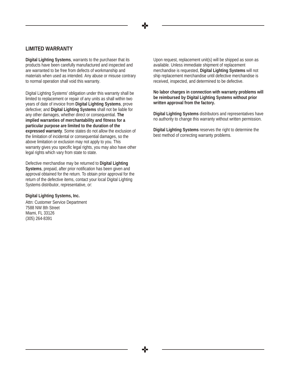#### **LIMITED WARRANTY**

**Digital Lighting Systems**, warrants to the purchaser that its products have been carefully manufactured and inspected and are warranted to be free from defects of workmanship and materials when used as intended. Any abuse or misuse contrary to normal operation shall void this warranty.

Digital Lighting Systems' obligation under this warranty shall be limited to replacement or repair of any units as shall within two years of date of invoice from **Digital Lighting Systems**, prove defective; and **Digital Lighting Systems** shall not be liable for any other damages, whether direct or consequential. **The implied warranties of merchantability and fitness for a particular purpose are limited to the duration of the expressed warranty**. Some states do not allow the exclusion of the limitation of incidental or consequential damages, so the above limitation or exclusion may not apply to you. This warranty gives you specific legal rights, you may also have other legal rights which vary from state to state.

Defective merchandise may be returned to **Digital Lighting Systems**, prepaid, after prior notification has been given and approval obtained for the return. To obtain prior approval for the return of the defective items, contact your local Digital Lighting Systems distributor, representative, or:

**Digital Lighting Systems, Inc.**

Attn: Customer Service Department 7588 NW 8th Street Miami, FL 33126 (305) 264-8391

Upon request, replacement unit(s) will be shipped as soon as available. Unless immediate shipment of replacement merchandise is requested, **Digital Lighting Systems** will not ship replacement merchandise until defective merchandise is received, inspected, and determined to be defective.

**No labor charges in connection with warranty problems will be reimbursed by Digital Lighting Systems without prior written approval from the factory.**

**Digital Lighting Systems** distributors and representatives have no authority to change this warranty without written permission.

**Digital Lighting Systems** reserves the right to determine the best method of correcting warranty problems.